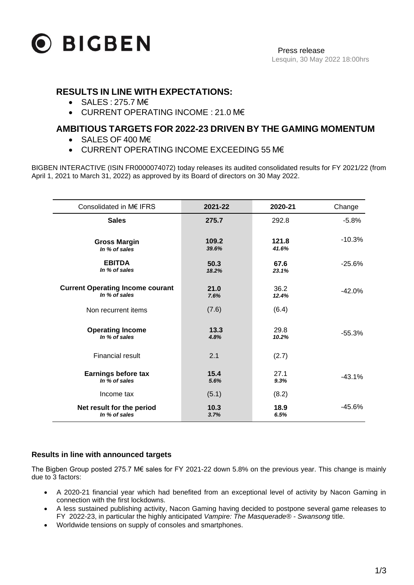

## **RESULTS IN LINE WITH EXPECTATIONS:**

- SALES : 275.7 M€
- CURRENT OPERATING INCOME : 21.0 M€

# **AMBITIOUS TARGETS FOR 2022-23 DRIVEN BY THE GAMING MOMENTUM**

- SALES OF 400 M€
- CURRENT OPERATING INCOME EXCEEDING 55 M€

BIGBEN INTERACTIVE (ISIN FR0000074072) today releases its audited consolidated results for FY 2021/22 (from April 1, 2021 to March 31, 2022) as approved by its Board of directors on 30 May 2022.

| Consolidated in M€ IFRS                 | 2021-22 | 2020-21 | Change   |
|-----------------------------------------|---------|---------|----------|
| <b>Sales</b>                            | 275.7   | 292.8   | $-5.8%$  |
| <b>Gross Margin</b>                     | 109.2   | 121.8   | $-10.3%$ |
| In % of sales                           | 39.6%   | 41.6%   |          |
| <b>EBITDA</b>                           | 50.3    | 67.6    | $-25.6%$ |
| In % of sales                           | 18.2%   | 23.1%   |          |
| <b>Current Operating Income courant</b> | 21.0    | 36.2    | $-42.0%$ |
| In % of sales                           | 7.6%    | 12.4%   |          |
| Non recurrent items                     | (7.6)   | (6.4)   |          |
| <b>Operating Income</b>                 | 13.3    | 29.8    | $-55.3%$ |
| In % of sales                           | 4.8%    | 10.2%   |          |
| <b>Financial result</b>                 | 2.1     | (2.7)   |          |
| <b>Earnings before tax</b>              | 15.4    | 27.1    | $-43.1%$ |
| In % of sales                           | 5.6%    | 9.3%    |          |
| Income tax                              | (5.1)   | (8.2)   |          |
| Net result for the period               | 10.3    | 18.9    | $-45.6%$ |
| In % of sales                           | 3.7%    | 6.5%    |          |

## **Results in line with announced targets**

The Bigben Group posted 275.7 M€ sales for FY 2021-22 down 5.8% on the previous year. This change is mainly due to 3 factors:

- A 2020-21 financial year which had benefited from an exceptional level of activity by Nacon Gaming in connection with the first lockdowns.
- A less sustained publishing activity, Nacon Gaming having decided to postpone several game releases to FY 2022-23, in particular the highly anticipated *Vampire: The Masquerade® - Swansong* title.
- Worldwide tensions on supply of consoles and smartphones.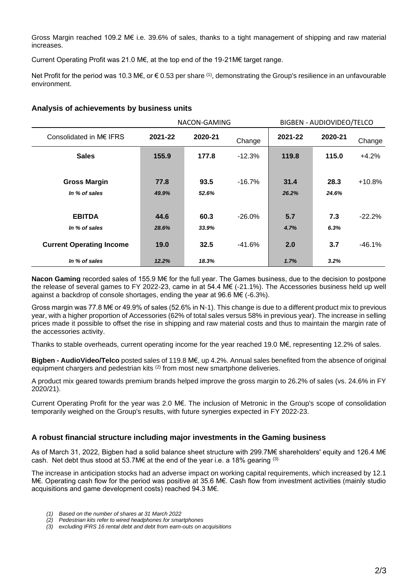Gross Margin reached 109.2 M€ i.e. 39.6% of sales, thanks to a tight management of shipping and raw material increases.

Current Operating Profit was 21.0 M€, at the top end of the 19-21M€ target range.

Net Profit for the period was 10.3 M€, or  $€ 0.53$  per share <sup>(1)</sup>, demonstrating the Group's resilience in an unfavourable environment.

|                                      | NACON-GAMING  |               |           | BIGBEN - AUDIOVIDEO/TELCO |               |          |
|--------------------------------------|---------------|---------------|-----------|---------------------------|---------------|----------|
| Consolidated in M€ IFRS              | 2021-22       | 2020-21       | Change    | 2021-22                   | 2020-21       | Change   |
| <b>Sales</b>                         | 155.9         | 177.8         | $-12.3%$  | 119.8                     | 115.0         | $+4.2%$  |
| <b>Gross Margin</b><br>In % of sales | 77.8<br>49.9% | 93.5<br>52.6% | $-16.7%$  | 31.4<br>26.2%             | 28.3<br>24.6% | $+10.8%$ |
| <b>EBITDA</b><br>In % of sales       | 44.6<br>28.6% | 60.3<br>33.9% | $-26.0%$  | 5.7<br>4.7%               | 7.3<br>6.3%   | $-22.2%$ |
| <b>Current Operating Income</b>      | 19.0          | 32.5          | $-41.6\%$ | 2.0                       | 3.7           | $-46.1%$ |
| In % of sales                        | 12.2%         | 18.3%         |           | 1.7%                      | 3.2%          |          |

#### **Analysis of achievements by business units**

**Nacon Gaming** recorded sales of 155.9 M€ for the full year. The Games business, due to the decision to postpone the release of several games to FY 2022-23, came in at 54.4 M€ (-21.1%). The Accessories business held up well against a backdrop of console shortages, ending the year at 96.6 M€ (-6.3%).

Gross margin was 77.8 M€ or 49.9% of sales (52.6% in N-1). This change is due to a different product mix to previous year, with a higher proportion of Accessories (62% of total sales versus 58% in previous year). The increase in selling prices made it possible to offset the rise in shipping and raw material costs and thus to maintain the margin rate of the accessories activity.

Thanks to stable overheads, current operating income for the year reached 19.0 M€, representing 12.2% of sales.

**Bigben - AudioVideo/Telco** posted sales of 119.8 M€, up 4.2%. Annual sales benefited from the absence of original equipment chargers and pedestrian kits  $(2)$  from most new smartphone deliveries.

A product mix geared towards premium brands helped improve the gross margin to 26.2% of sales (vs. 24.6% in FY 2020/21).

Current Operating Profit for the year was 2.0 M€. The inclusion of Metronic in the Group's scope of consolidation temporarily weighed on the Group's results, with future synergies expected in FY 2022-23.

## **A robust financial structure including major investments in the Gaming business**

As of March 31, 2022, Bigben had a solid balance sheet structure with 299.7M€ shareholders' equity and 126.4 M€ cash. Net debt thus stood at 53.7M $\epsilon$  at the end of the year i.e. a 18% gearing (3).

The increase in anticipation stocks had an adverse impact on working capital requirements, which increased by 12.1 M€. Operating cash flow for the period was positive at 35.6 M€. Cash flow from investment activities (mainly studio acquisitions and game development costs) reached 94.3 M€.

- *(1) Based on the number of shares at 31 March 2022*
- *(2) Pedestrian kits refer to wired headphones for smartphones*

*<sup>(3)</sup> excluding IFRS 16 rental debt and debt from earn-outs on acquisitions*